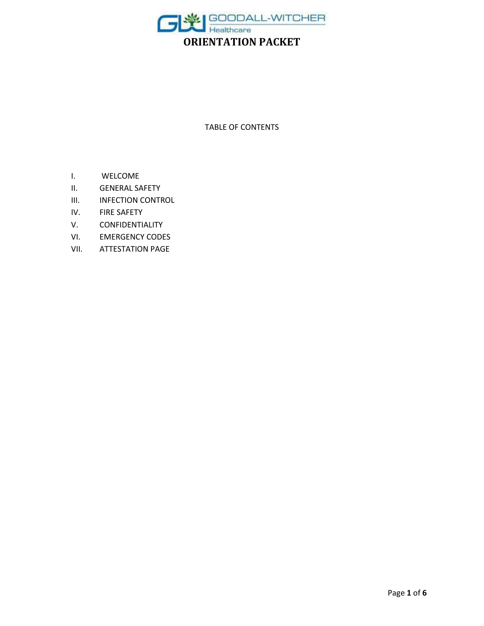

TABLE OF CONTENTS

- I. WELCOME
- II. GENERAL SAFETY
- III. INFECTION CONTROL
- IV. FIRE SAFETY
- V. CONFIDENTIALITY
- VI. EMERGENCY CODES
- VII. ATTESTATION PAGE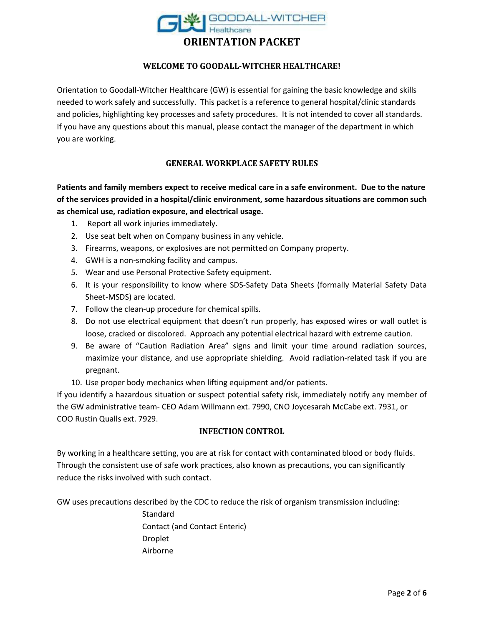

#### **WELCOME TO GOODALL-WITCHER HEALTHCARE!**

Orientation to Goodall-Witcher Healthcare (GW) is essential for gaining the basic knowledge and skills needed to work safely and successfully. This packet is a reference to general hospital/clinic standards and policies, highlighting key processes and safety procedures. It is not intended to cover all standards. If you have any questions about this manual, please contact the manager of the department in which you are working.

## **GENERAL WORKPLACE SAFETY RULES**

**Patients and family members expect to receive medical care in a safe environment. Due to the nature of the services provided in a hospital/clinic environment, some hazardous situations are common such as chemical use, radiation exposure, and electrical usage.**

- 1. Report all work injuries immediately.
- 2. Use seat belt when on Company business in any vehicle.
- 3. Firearms, weapons, or explosives are not permitted on Company property.
- 4. GWH is a non-smoking facility and campus.
- 5. Wear and use Personal Protective Safety equipment.
- 6. It is your responsibility to know where SDS-Safety Data Sheets (formally Material Safety Data Sheet-MSDS) are located.
- 7. Follow the clean-up procedure for chemical spills.
- 8. Do not use electrical equipment that doesn't run properly, has exposed wires or wall outlet is loose, cracked or discolored. Approach any potential electrical hazard with extreme caution.
- 9. Be aware of "Caution Radiation Area" signs and limit your time around radiation sources, maximize your distance, and use appropriate shielding. Avoid radiation-related task if you are pregnant.
- 10. Use proper body mechanics when lifting equipment and/or patients.

If you identify a hazardous situation or suspect potential safety risk, immediately notify any member of the GW administrative team- CEO Adam Willmann ext. 7990, CNO Joycesarah McCabe ext. 7931, or COO Rustin Qualls ext. 7929.

#### **INFECTION CONTROL**

By working in a healthcare setting, you are at risk for contact with contaminated blood or body fluids. Through the consistent use of safe work practices, also known as precautions, you can significantly reduce the risks involved with such contact.

GW uses precautions described by the CDC to reduce the risk of organism transmission including:

Standard Contact (and Contact Enteric) Droplet Airborne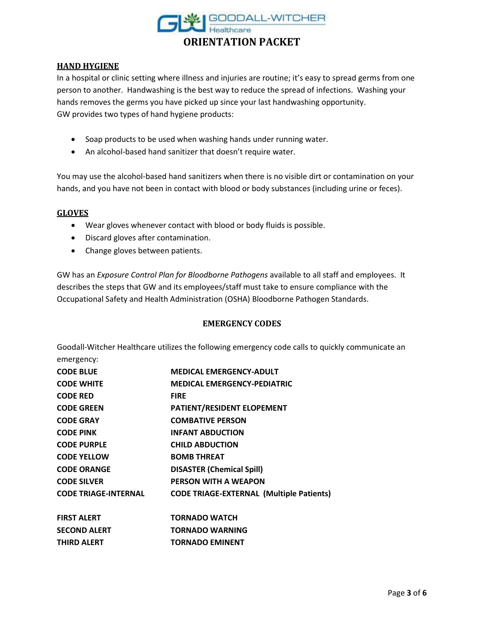

#### **HAND HYGIENE**

In a hospital or clinic setting where illness and injuries are routine; it's easy to spread germs from one person to another. Handwashing is the best way to reduce the spread of infections. Washing your hands removes the germs you have picked up since your last handwashing opportunity. GW provides two types of hand hygiene products:

- Soap products to be used when washing hands under running water.
- An alcohol-based hand sanitizer that doesn't require water.

You may use the alcohol-based hand sanitizers when there is no visible dirt or contamination on your hands, and you have not been in contact with blood or body substances (including urine or feces).

#### **GLOVES**

- Wear gloves whenever contact with blood or body fluids is possible.
- Discard gloves after contamination.
- Change gloves between patients.

GW has an *Exposure Control Plan for Bloodborne Pathogens* available to all staff and employees. It describes the steps that GW and its employees/staff must take to ensure compliance with the Occupational Safety and Health Administration (OSHA) Bloodborne Pathogen Standards.

#### **EMERGENCY CODES**

Goodall-Witcher Healthcare utilizes the following emergency code calls to quickly communicate an emergency:

| <b>CODE BLUE</b>            | <b>MEDICAL EMERGENCY-ADULT</b>                  |
|-----------------------------|-------------------------------------------------|
| <b>CODE WHITE</b>           | <b>MEDICAL EMERGENCY-PEDIATRIC</b>              |
| <b>CODE RED</b>             | <b>FIRE</b>                                     |
| <b>CODE GREEN</b>           | PATIENT/RESIDENT ELOPEMENT                      |
| <b>CODE GRAY</b>            | <b>COMBATIVE PERSON</b>                         |
| <b>CODE PINK</b>            | <b>INFANT ABDUCTION</b>                         |
| <b>CODE PURPLE</b>          | <b>CHILD ABDUCTION</b>                          |
| <b>CODE YELLOW</b>          | <b>BOMB THREAT</b>                              |
| <b>CODE ORANGE</b>          | <b>DISASTER (Chemical Spill)</b>                |
| <b>CODE SILVER</b>          | PERSON WITH A WEAPON                            |
| <b>CODE TRIAGE-INTERNAL</b> | <b>CODE TRIAGE-EXTERNAL (Multiple Patients)</b> |
| <b>FIRST ALERT</b>          | <b>TORNADO WATCH</b>                            |
| <b>SECOND ALERT</b>         | <b>TORNADO WARNING</b>                          |

**THIRD ALERT TORNADO EMINENT**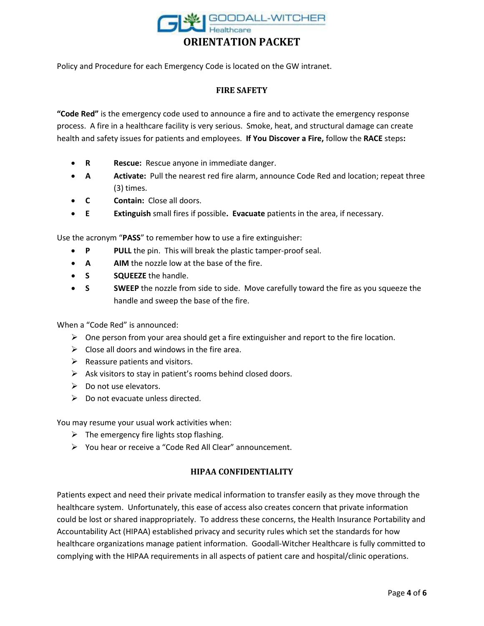

Policy and Procedure for each Emergency Code is located on the GW intranet.

# **FIRE SAFETY**

**"Code Red"** is the emergency code used to announce a fire and to activate the emergency response process. A fire in a healthcare facility is very serious. Smoke, heat, and structural damage can create health and safety issues for patients and employees. **If You Discover a Fire,** follow the **RACE** steps**:**

- **R Rescue:** Rescue anyone in immediate danger.
- **A Activate:** Pull the nearest red fire alarm, announce Code Red and location; repeat three (3) times.
- **C Contain:** Close all doors.
- **E Extinguish** small fires if possible**. Evacuate** patients in the area, if necessary.

Use the acronym "**PASS**" to remember how to use a fire extinguisher:

- **P** PULL the pin. This will break the plastic tamper-proof seal.
- **A AIM** the nozzle low at the base of the fire.
- **S SQUEEZE** the handle.
- **S SWEEP** the nozzle from side to side. Move carefully toward the fire as you squeeze the handle and sweep the base of the fire.

When a "Code Red" is announced:

- $\triangleright$  One person from your area should get a fire extinguisher and report to the fire location.
- $\triangleright$  Close all doors and windows in the fire area.
- $\triangleright$  Reassure patients and visitors.
- $\triangleright$  Ask visitors to stay in patient's rooms behind closed doors.
- $\triangleright$  Do not use elevators.
- $\triangleright$  Do not evacuate unless directed.

You may resume your usual work activities when:

- $\triangleright$  The emergency fire lights stop flashing.
- You hear or receive a "Code Red All Clear" announcement.

# **HIPAA CONFIDENTIALITY**

Patients expect and need their private medical information to transfer easily as they move through the healthcare system. Unfortunately, this ease of access also creates concern that private information could be lost or shared inappropriately. To address these concerns, the Health Insurance Portability and Accountability Act (HIPAA) established privacy and security rules which set the standards for how healthcare organizations manage patient information. Goodall-Witcher Healthcare is fully committed to complying with the HIPAA requirements in all aspects of patient care and hospital/clinic operations.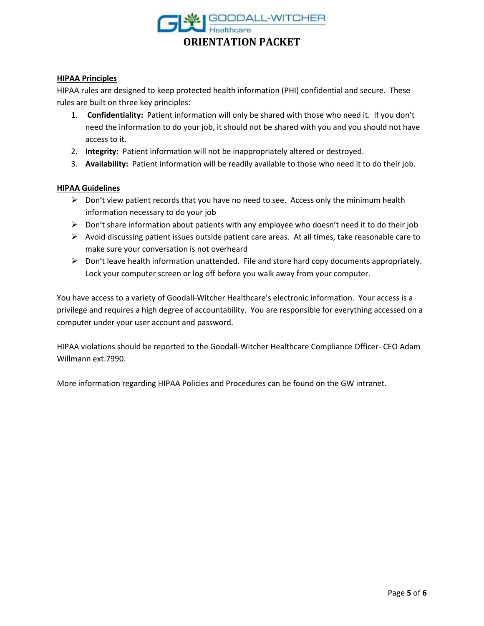

#### **HIPAA Principles**

HIPAA rules are designed to keep protected health information (PHI) confidential and secure. These rules are built on three key principles:

- 1. **Confidentiality:** Patient information will only be shared with those who need it. If you don't need the information to do your job, it should not be shared with you and you should not have access to it.
- 2. **Integrity:** Patient information will not be inappropriately altered or destroyed.
- 3. **Availability:** Patient information will be readily available to those who need it to do their job.

#### **HIPAA Guidelines**

- $\triangleright$  Don't view patient records that you have no need to see. Access only the minimum health information necessary to do your job
- $\triangleright$  Don't share information about patients with any employee who doesn't need it to do their job
- $\triangleright$  Avoid discussing patient issues outside patient care areas. At all times, take reasonable care to make sure your conversation is not overheard
- $\triangleright$  Don't leave health information unattended. File and store hard copy documents appropriately. Lock your computer screen or log off before you walk away from your computer.

You have access to a variety of Goodall-Witcher Healthcare's electronic information. Your access is a privilege and requires a high degree of accountability. You are responsible for everything accessed on a computer under your user account and password.

HIPAA violations should be reported to the Goodall-Witcher Healthcare Compliance Officer- CEO Adam Willmann ext.7990.

More information regarding HIPAA Policies and Procedures can be found on the GW intranet.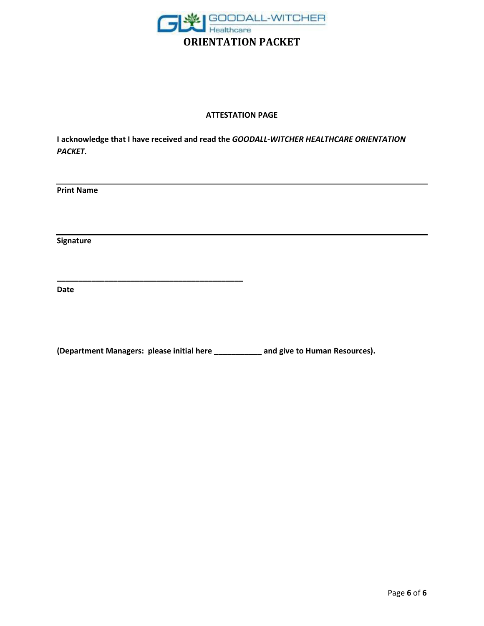

## **ATTESTATION PAGE**

**I acknowledge that I have received and read the** *GOODALL-WITCHER HEALTHCARE ORIENTATION PACKET.*

**Print Name**

**Signature**

**Date**

**(Department Managers: please initial here \_\_\_\_\_\_\_\_\_\_\_ and give to Human Resources).**

**\_\_\_\_\_\_\_\_\_\_\_\_\_\_\_\_\_\_\_\_\_\_\_\_\_\_\_\_\_\_\_\_\_\_\_\_\_\_\_\_\_\_\_**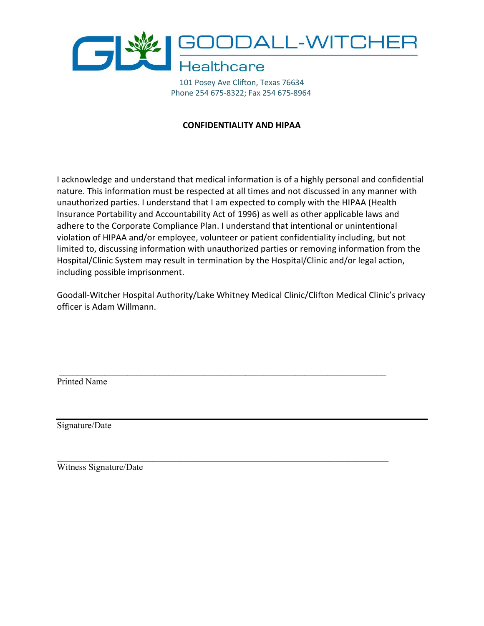

101 Posey Ave Clifton, Texas 76634 Phone 254 675-8322; Fax 254 675-8964

# **CONFIDENTIALITY AND HIPAA**

I acknowledge and understand that medical information is of a highly personal and confidential nature. This information must be respected at all times and not discussed in any manner with unauthorized parties. I understand that I am expected to comply with the HIPAA (Health Insurance Portability and Accountability Act of 1996) as well as other applicable laws and adhere to the Corporate Compliance Plan. I understand that intentional or unintentional violation of HIPAA and/or employee, volunteer or patient confidentiality including, but not limited to, discussing information with unauthorized parties or removing information from the Hospital/Clinic System may result in termination by the Hospital/Clinic and/or legal action, including possible imprisonment.

Goodall-Witcher Hospital Authority/Lake Whitney Medical Clinic/Clifton Medical Clinic's privacy officer is Adam Willmann.

 $\_$  , and the contribution of the contribution of  $\mathcal{L}_\mathcal{A}$  , and the contribution of  $\mathcal{L}_\mathcal{A}$ 

 $\_$  , and the contribution of the contribution of  $\mathcal{L}_\mathcal{A}$  , and the contribution of  $\mathcal{L}_\mathcal{A}$ 

Printed Name

Signature/Date

Witness Signature/Date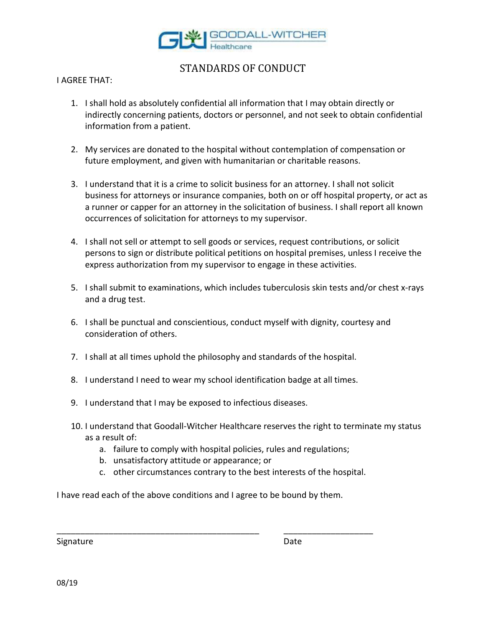

# STANDARDS OF CONDUCT

## I AGREE THAT:

- 1. I shall hold as absolutely confidential all information that I may obtain directly or indirectly concerning patients, doctors or personnel, and not seek to obtain confidential information from a patient.
- 2. My services are donated to the hospital without contemplation of compensation or future employment, and given with humanitarian or charitable reasons.
- 3. I understand that it is a crime to solicit business for an attorney. I shall not solicit business for attorneys or insurance companies, both on or off hospital property, or act as a runner or capper for an attorney in the solicitation of business. I shall report all known occurrences of solicitation for attorneys to my supervisor.
- 4. I shall not sell or attempt to sell goods or services, request contributions, or solicit persons to sign or distribute political petitions on hospital premises, unless I receive the express authorization from my supervisor to engage in these activities.
- 5. I shall submit to examinations, which includes tuberculosis skin tests and/or chest x-rays and a drug test.
- 6. I shall be punctual and conscientious, conduct myself with dignity, courtesy and consideration of others.
- 7. I shall at all times uphold the philosophy and standards of the hospital.
- 8. I understand I need to wear my school identification badge at all times.
- 9. I understand that I may be exposed to infectious diseases.
- 10. I understand that Goodall-Witcher Healthcare reserves the right to terminate my status as a result of:
	- a. failure to comply with hospital policies, rules and regulations;
	- b. unsatisfactory attitude or appearance; or
	- c. other circumstances contrary to the best interests of the hospital.

I have read each of the above conditions and I agree to be bound by them.

\_\_\_\_\_\_\_\_\_\_\_\_\_\_\_\_\_\_\_\_\_\_\_\_\_\_\_\_\_\_\_\_\_\_\_\_\_\_\_\_\_\_\_ \_\_\_\_\_\_\_\_\_\_\_\_\_\_\_\_\_\_\_

Signature Date Date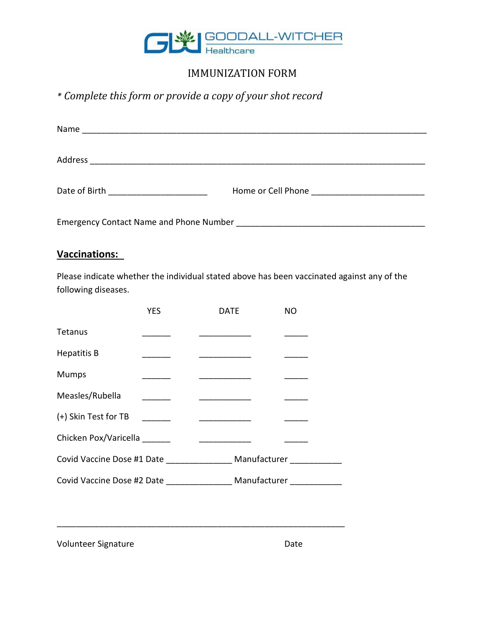

# IMMUNIZATION FORM

*\* Complete this form or provide a copy of your shot record*

| Name<br><u> 1989 - Johann Stein, mars an de Brazilian (b. 1989)</u> |                                       |
|---------------------------------------------------------------------|---------------------------------------|
|                                                                     |                                       |
| Address                                                             |                                       |
|                                                                     |                                       |
| Date of Birth <u>_______________</u>                                | Home or Cell Phone <b>Figure 2018</b> |
|                                                                     |                                       |
| <b>Emergency Contact Name and Phone Number</b>                      |                                       |

# **Vaccinations:**

Please indicate whether the individual stated above has been vaccinated against any of the following diseases.

|                                                                           | <b>YES</b> | DATE | <b>NO</b>    |  |  |
|---------------------------------------------------------------------------|------------|------|--------------|--|--|
| Tetanus                                                                   |            |      |              |  |  |
| <b>Hepatitis B</b>                                                        |            |      |              |  |  |
| <b>Mumps</b>                                                              |            |      |              |  |  |
| Measles/Rubella                                                           |            |      |              |  |  |
| (+) Skin Test for TB                                                      |            |      |              |  |  |
| Chicken Pox/Varicella<br><u> 1980 - Jan Barbara Barbara, prima popula</u> |            |      |              |  |  |
| Covid Vaccine Dose #1 Date                                                |            |      | Manufacturer |  |  |
| Covid Vaccine Dose #2 Date                                                |            |      | Manufacturer |  |  |

\_\_\_\_\_\_\_\_\_\_\_\_\_\_\_\_\_\_\_\_\_\_\_\_\_\_\_\_\_\_\_\_\_\_\_\_\_\_\_\_\_\_\_\_\_\_\_\_\_\_\_\_\_\_\_\_\_\_\_\_\_

Volunteer Signature **Date** Date